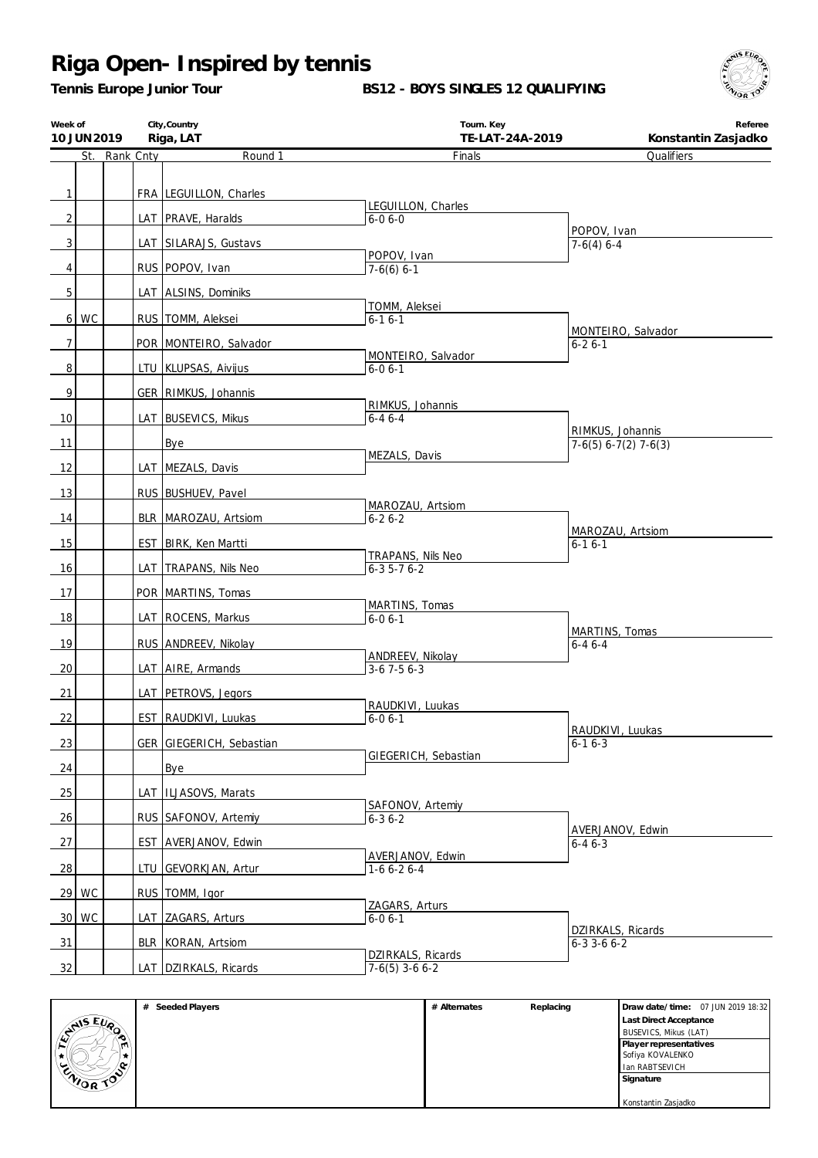*Tennis Europe Junior Tour*

**BS12 - BOYS SINGLES 12 QUALIFYING**



| Week of        | 10 JUN 2019 |               | City, Country<br>Riga, LAT | Tourn. Key<br>TE-LAT-24A-2019    | Referee<br>Konstantin Zasjadko             |
|----------------|-------------|---------------|----------------------------|----------------------------------|--------------------------------------------|
|                |             | St. Rank Cnty | Round 1                    | Finals                           | Qualifiers                                 |
|                |             |               |                            |                                  |                                            |
| $\mathbf{1}$   |             |               | FRA LEGUILLON, Charles     | LEGUILLON, Charles               |                                            |
| $\overline{2}$ |             |               | LAT PRAVE, Haralds         | $6 - 06 - 0$                     |                                            |
| $\sqrt{3}$     |             |               | LAT SILARAJS, Gustavs      |                                  | POPOV, Ivan<br>$7-6(4)$ 6-4                |
|                |             |               | RUS POPOV, Ivan            | POPOV, Ivan                      |                                            |
| $\overline{4}$ |             |               |                            | $7-6(6)$ 6-1                     |                                            |
| 5              |             |               | LAT ALSINS, Dominiks       | TOMM, Aleksei                    |                                            |
|                | $6$   WC    |               | RUS   TOMM, Aleksei        | $6 - 16 - 1$                     |                                            |
| $\overline{7}$ |             |               | POR MONTEIRO, Salvador     |                                  | MONTEIRO, Salvador<br>$6 - 26 - 1$         |
|                |             |               |                            | MONTEIRO, Salvador               |                                            |
| 8              |             |               | LTU KLUPSAS, Aivijus       | $6 - 06 - 1$                     |                                            |
| 9              |             |               | GER RIMKUS, Johannis       | RIMKUS, Johannis                 |                                            |
| 10             |             |               | LAT BUSEVICS, Mikus        | $6 - 46 - 4$                     |                                            |
| 11             |             |               | Bye                        |                                  | RIMKUS, Johannis<br>$7-6(5) 6-7(2) 7-6(3)$ |
|                |             |               |                            | MEZALS, Davis                    |                                            |
| 12             |             |               | LAT MEZALS, Davis          |                                  |                                            |
| 13             |             |               | RUS BUSHUEV, Pavel         | MAROZAU, Artsiom                 |                                            |
| 14             |             |               | BLR   MAROZAU, Artsiom     | $6 - 26 - 2$                     |                                            |
| 15             |             |               | EST   BIRK, Ken Martti     |                                  | MAROZAU, Artsiom<br>$6 - 16 - 1$           |
|                |             |               |                            | TRAPANS, Nils Neo                |                                            |
| 16             |             |               | LAT   TRAPANS, Nils Neo    | $6 - 35 - 76 - 2$                |                                            |
| 17             |             |               | POR MARTINS, Tomas         | MARTINS, Tomas                   |                                            |
| 18             |             |               | LAT   ROCENS, Markus       | $6 - 06 - 1$                     |                                            |
| 19             |             |               | RUS ANDREEV, Nikolay       |                                  | MARTINS, Tomas<br>$6 - 46 - 4$             |
|                |             |               |                            | ANDREEV, Nikolay                 |                                            |
| 20             |             |               | LAT   AIRE, Armands        | $3-6$ 7 $-5$ 6 $-3$              |                                            |
| 21             |             |               | LAT   PETROVS, Jegors      |                                  |                                            |
| 22             |             |               | EST RAUDKIVI, Luukas       | RAUDKIVI, Luukas<br>$6 - 06 - 1$ |                                            |
| 23             |             |               | GER GIEGERICH, Sebastian   |                                  | RAUDKIVI, Luukas<br>$6 - 16 - 3$           |
|                |             |               |                            | GIEGERICH, Sebastian             |                                            |
| 24             |             |               | <b>Bye</b>                 |                                  |                                            |
| 25             |             |               | LAT   ILJASOVS, Marats     |                                  |                                            |
| 26             |             |               | RUS SAFONOV, Artemiy       | SAFONOV, Artemiy<br>$6 - 36 - 2$ |                                            |
| 27             |             |               | EST AVERJANOV, Edwin       |                                  | AVERJANOV, Edwin<br>$6 - 46 - 3$           |
|                |             |               |                            | AVERJANOV, Edwin                 |                                            |
| 28             |             |               | LTU GEVORKJAN, Artur       | $1-66-26-4$                      |                                            |
|                | 29 WC       |               | RUS TOMM, Igor             |                                  |                                            |
|                | 30 WC       |               | LAT ZAGARS, Arturs         | ZAGARS, Arturs<br>$6 - 06 - 1$   |                                            |
| 31             |             |               | BLR KORAN, Artsiom         |                                  | DZIRKALS, Ricards                          |
|                |             |               |                            | DZIRKALS, Ricards                | $6 - 3$ 3 - 6 $6 - 2$                      |
| 32             |             |               | LAT DZIRKALS, Ricards      | $7-6(5)$ 3-6 6-2                 |                                            |

|                | Seeded Players<br># | # Alternates | Replacing | Draw date/time: 07 JUN 2019 18:32 |
|----------------|---------------------|--------------|-----------|-----------------------------------|
|                |                     |              |           | <b>Last Direct Acceptance</b>     |
| <b>ANSEUP</b>  |                     |              |           | BUSEVICS, Mikus (LAT)             |
| ∖™.            |                     |              |           | Player representatives            |
| ₩.             |                     |              |           | Sofiya KOVALENKO                  |
| $\sim$<br>یے : |                     |              |           | Ian RABTSEVICH                    |
| CAIOR TO       |                     |              |           | Signature                         |
|                |                     |              |           |                                   |
|                |                     |              |           | Konstantin Zasjadko               |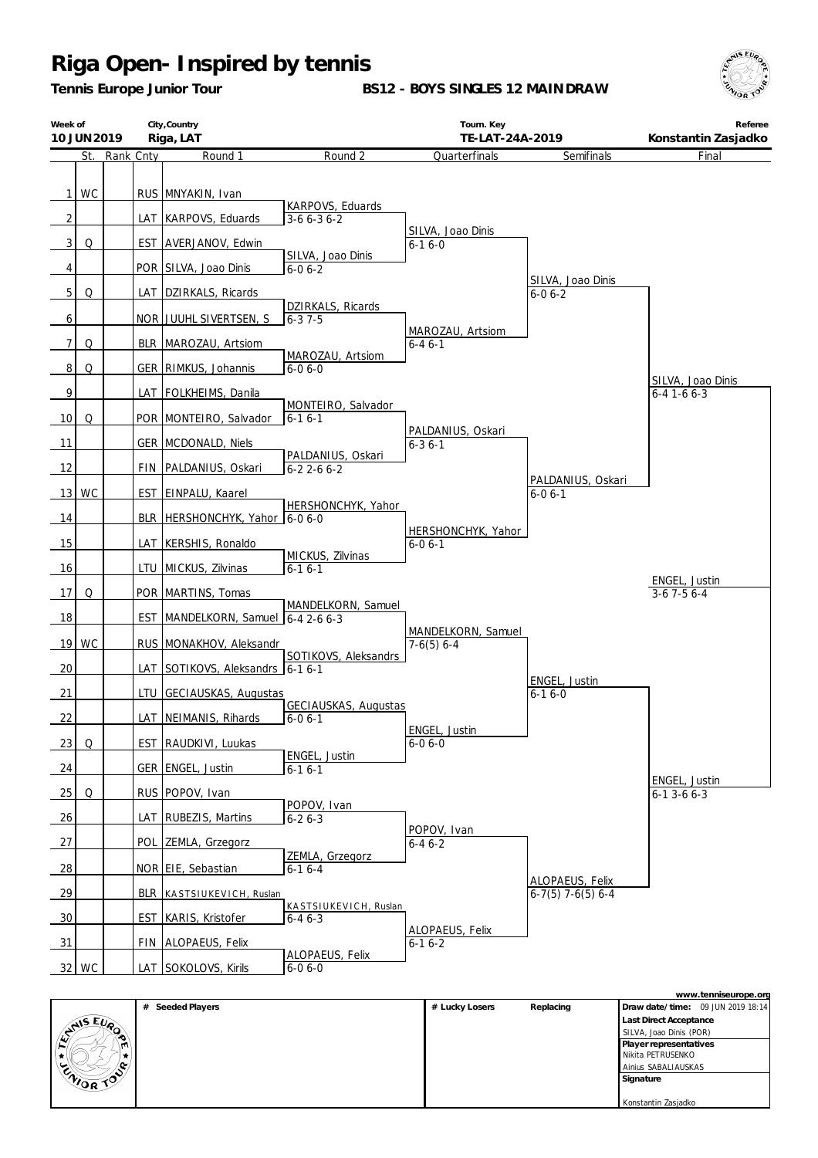*Tennis Europe Junior Tour*

**BS12 - BOYS SINGLES 12 MAINDRAW**



| Week of         | 10 JUN 2019 |               | City, Country<br>Riga, LAT         |                                             | Tourn. Key<br>TE-LAT-24A-2019      |                                        | Referee<br>Konstantin Zasjadko             |
|-----------------|-------------|---------------|------------------------------------|---------------------------------------------|------------------------------------|----------------------------------------|--------------------------------------------|
|                 |             | St. Rank Cnty | Round 1                            | Round 2                                     | Quarterfinals                      | Semifinals                             | Final                                      |
| 1               | WC          |               | RUS MNYAKIN, Ivan                  | KARPOVS, Eduards                            |                                    |                                        |                                            |
| $\overline{2}$  |             |               | LAT   KARPOVS, Eduards             | $3-66-36-2$                                 | SILVA, Joao Dinis                  |                                        |                                            |
| 3               | Q           |               | EST AVERJANOV, Edwin               | SILVA, Joao Dinis                           | $6 - 16 - 0$                       |                                        |                                            |
| 4               |             |               | POR SILVA, Joao Dinis              | $6 - 06 - 2$                                |                                    | SILVA, Joao Dinis                      |                                            |
| 5 <sup>1</sup>  | Q           |               | LAT DZIRKALS, Ricards              |                                             |                                    | $6 - 06 - 2$                           |                                            |
| 6               |             |               | NOR JUUHL SIVERTSEN, S             | DZIRKALS, Ricards<br>$6 - 37 - 5$           |                                    |                                        |                                            |
| 7 <sup>1</sup>  | Q           |               | BLR   MAROZAU, Artsiom             |                                             | MAROZAU, Artsiom<br>$6 - 46 - 1$   |                                        |                                            |
| 8 <sup>1</sup>  | Q           |               | GER   RIMKUS, Johannis             | MAROZAU, Artsiom<br>$6 - 06 - 0$            |                                    |                                        |                                            |
| 9               |             |               | LAT   FOLKHEIMS, Danila            |                                             |                                    |                                        | SILVA, Joao Dinis<br>$6 - 4$ 1 - 6 $6 - 3$ |
| 10 <sup>1</sup> | Q           |               | POR MONTEIRO, Salvador             | MONTEIRO, Salvador<br>$6 - 16 - 1$          |                                    |                                        |                                            |
| 11              |             |               | GER MCDONALD, Niels                |                                             | PALDANIUS, Oskari<br>$6 - 36 - 1$  |                                        |                                            |
| 12              |             |               | FIN   PALDANIUS, Oskari            | PALDANIUS, Oskari<br>$6-22-66-2$            |                                    |                                        |                                            |
|                 | 13   WC     |               | EST   EINPALU, Kaarel              |                                             |                                    | PALDANIUS, Oskari<br>$6 - 06 - 1$      |                                            |
| 14              |             |               | BLR   HERSHONCHYK, Yahor           | HERSHONCHYK, Yahor<br>$6 - 06 - 0$          |                                    |                                        |                                            |
| 15              |             |               | LAT KERSHIS, Ronaldo               |                                             | HERSHONCHYK, Yahor<br>$6 - 06 - 1$ |                                        |                                            |
| 16              |             |               | LTU MICKUS, Zilvinas               | MICKUS, Zilvinas<br>$6-16-1$                |                                    |                                        |                                            |
| 17              | Q           |               | POR   MARTINS, Tomas               |                                             |                                    |                                        | ENGEL, Justin<br>$3-6$ 7 $-5$ 6 $-4$       |
| 18              |             |               | EST   MANDELKORN, Samuel           | MANDELKORN, Samuel<br>$6 - 42 - 66 - 3$     |                                    |                                        |                                            |
| 19              | WC          |               | RUS   MONAKHOV, Aleksandr          |                                             | MANDELKORN, Samuel<br>$7-6(5)$ 6-4 |                                        |                                            |
| 20              |             |               | LAT SOTIKOVS, Aleksandrs   6-1 6-1 | SOTIKOVS, Aleksandrs                        |                                    |                                        |                                            |
| 21              |             |               | LTU GECIAUSKAS, Augustas           |                                             |                                    | ENGEL, Justin<br>$6 - 16 - 0$          |                                            |
| 22              |             |               | LAT NEIMANIS, Rihards              | <b>GECIAUSKAS, Augustas</b><br>$6 - 06 - 1$ |                                    |                                        |                                            |
| 23              | Q           |               | EST   RAUDKIVI, Luukas             |                                             | ENGEL, Justin<br>$6 - 06 - 0$      |                                        |                                            |
| 24              |             |               | GER   ENGEL, Justin                | ENGEL, Justin<br>$6 - 16 - 1$               |                                    |                                        |                                            |
| 25              | Q           |               | RUS POPOV, Ivan                    |                                             |                                    |                                        | ENGEL, Justin<br>$6-13-66-3$               |
| 26              |             | LAT           | <b>RUBEZIS, Martins</b>            | POPOV, Ivan<br>$6 - 26 - 3$                 |                                    |                                        |                                            |
| 27              |             | POL           | ZEMLA, Grzegorz                    |                                             | POPOV, Ivan<br>$6 - 46 - 2$        |                                        |                                            |
| 28              |             |               | NOR EIE, Sebastian                 | ZEMLA, Grzegorz<br>$6-16-4$                 |                                    |                                        |                                            |
| 29              |             |               | BLR KASTSIUKEVICH, Ruslan          |                                             |                                    | ALOPAEUS, Felix<br>$6-7(5)$ 7-6(5) 6-4 |                                            |
| 30              |             |               | <b>EST KARIS, Kristofer</b>        | KASTSIUKEVICH, Ruslan<br>$6 - 46 - 3$       |                                    |                                        |                                            |
| 31              |             |               | FIN ALOPAEUS, Felix                |                                             | ALOPAEUS, Felix<br>$6 - 16 - 2$    |                                        |                                            |
|                 | 32 WC       |               | LAT SOKOLOVS, Kirils               | <b>ALOPAEUS, Felix</b><br>$6 - 06 - 0$      |                                    |                                        |                                            |

|                  |                     |                |           | www.tenniseurope.org              |
|------------------|---------------------|----------------|-----------|-----------------------------------|
|                  | Seeded Players<br># | # Lucky Losers | Replacing | Draw date/time: 09 JUN 2019 18:14 |
|                  |                     |                |           | <b>Last Direct Acceptance</b>     |
| <b>EVAIS EVA</b> |                     |                |           | SILVA, Joao Dinis (POR)           |
| m                |                     |                |           | Player representatives            |
|                  |                     |                |           | Nikita PETRUSENKO                 |
|                  |                     |                |           | Ainius SABALIAUSKAS               |
| ENIOR TOP        |                     |                |           | Signature                         |
|                  |                     |                |           |                                   |
|                  |                     |                |           | Konstantin Zasjadko               |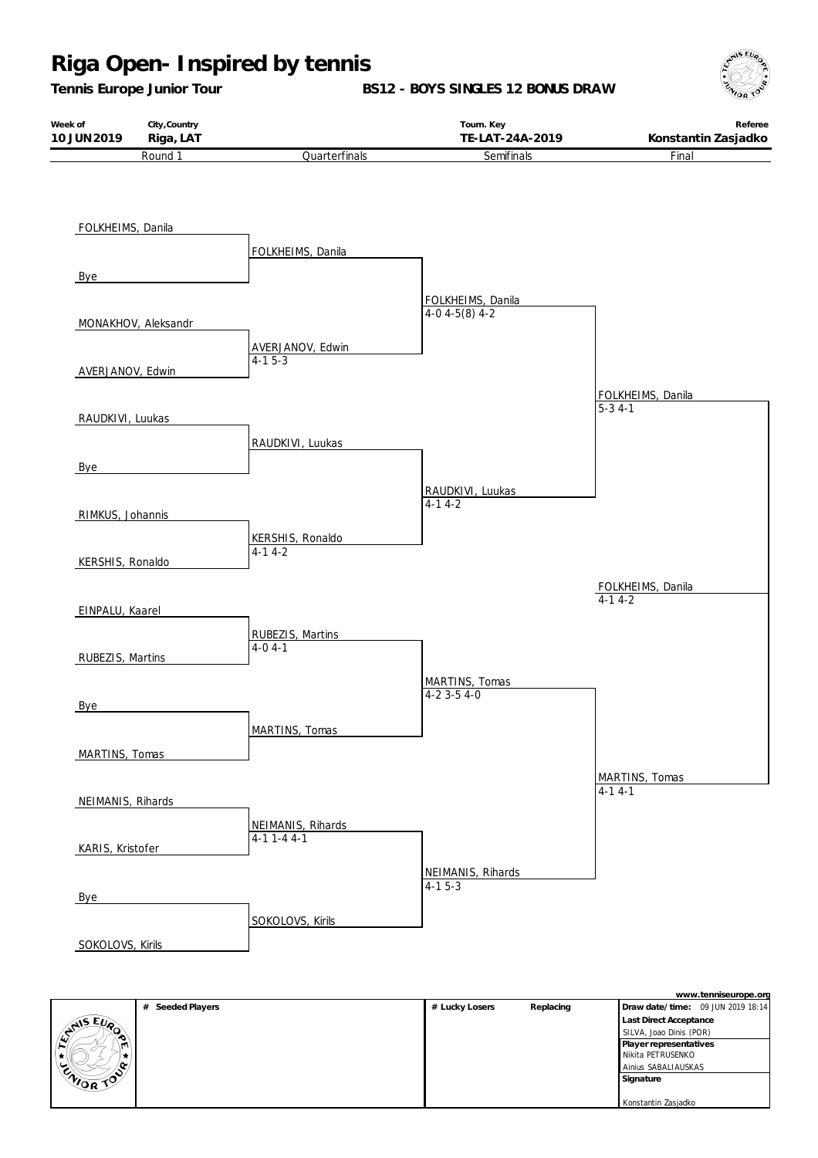*Tennis Europe Junior Tour*

**BS12 - BOYS SINGLES 12 BONUS DRAW**



| Week of     | City, Country      |                      | Tourn. Key      | Referee             |
|-------------|--------------------|----------------------|-----------------|---------------------|
| 10 JUN 2019 | Riga, LAT          |                      | TE-LAT-24A-2019 | Konstantin Zasjadko |
|             | Round <sup>1</sup> | <b>Quarterfinals</b> | Semifinals      | Final               |



|              | # Seeded Players | # Lucky Losers | Replacing | Draw date/time: 09 JUN 2019 18:14 |
|--------------|------------------|----------------|-----------|-----------------------------------|
|              |                  |                |           | Last Direct Acceptance            |
| ANS EVO<br>æ |                  |                |           | SILVA, Joao Dinis (POR)           |
| m            |                  |                |           | Player representatives            |
|              |                  |                |           | Nikita PETRUSENKO                 |
| ം            |                  |                |           | Ainius SABALIAUSKAS               |
| CNIOR TOP    |                  |                |           | Signature                         |
|              |                  |                |           |                                   |
|              |                  |                |           | Konstantin Zasjadko               |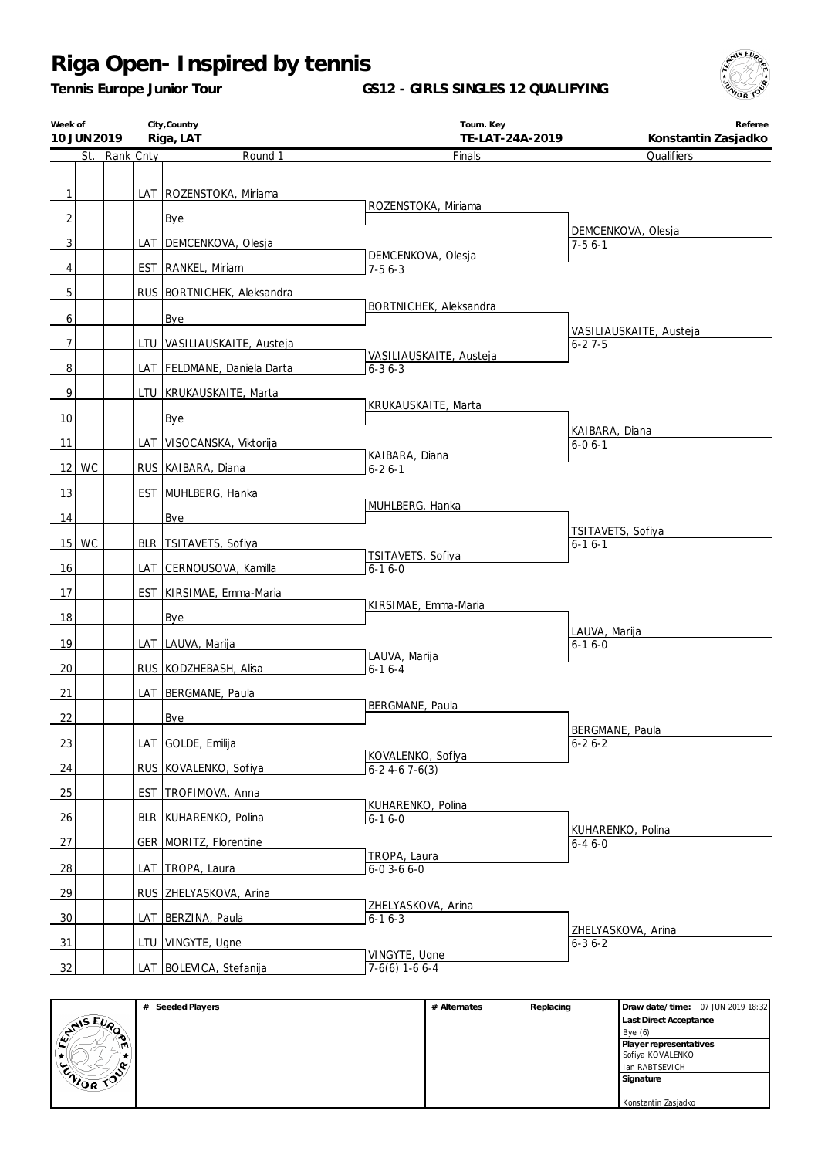*Tennis Europe Junior Tour*

**GS12 - GIRLS SINGLES 12 QUALIFYING**



| Week of        | 10 JUN 2019 |               | City, Country<br>Tourn. Key<br>Riga, LAT<br>TE-LAT-24A-2019 |                                 | Referee<br>Konstantin Zasjadko |                                    |
|----------------|-------------|---------------|-------------------------------------------------------------|---------------------------------|--------------------------------|------------------------------------|
|                |             | St. Rank Cnty |                                                             | Round 1                         | Finals                         | Qualifiers                         |
|                |             |               |                                                             |                                 |                                |                                    |
| $\mathbf{1}$   |             |               |                                                             | LAT   ROZENSTOKA, Miriama       |                                |                                    |
| $\overline{2}$ |             |               |                                                             | Bye                             | ROZENSTOKA, Miriama            |                                    |
|                |             |               |                                                             |                                 |                                | DEMCENKOVA, Olesja                 |
| 3              |             |               |                                                             | LAT DEMCENKOVA, Olesja          | DEMCENKOVA, Olesja             | $7-56-1$                           |
| 4              |             |               |                                                             | EST   RANKEL, Miriam            | $7-56-3$                       |                                    |
| 5              |             |               |                                                             | RUS   BORTNICHEK, Aleksandra    |                                |                                    |
| 6              |             |               |                                                             | Bye                             | BORTNICHEK, Aleksandra         |                                    |
| $\overline{7}$ |             |               |                                                             |                                 |                                | VASILIAUSKAITE, Austeja            |
|                |             |               |                                                             | LTU VASILIAUSKAITE, Austeja     | VASILIAUSKAITE, Austeja        | $6 - 27 - 5$                       |
| 8              |             |               |                                                             | LAT   FELDMANE, Daniela Darta   | $6 - 36 - 3$                   |                                    |
| 9              |             |               |                                                             | LTU   KRUKAUSKAITE, Marta       |                                |                                    |
| 10             |             |               |                                                             | Bye                             | KRUKAUSKAITE, Marta            |                                    |
|                |             |               |                                                             |                                 |                                | KAIBARA, Diana                     |
| 11             |             |               |                                                             | LAT VISOCANSKA, Viktorija       | KAIBARA, Diana                 | $6 - 06 - 1$                       |
|                | $12$ WC     |               |                                                             | RUS   KAIBARA, Diana            | $6 - 26 - 1$                   |                                    |
| 13             |             |               |                                                             | EST MUHLBERG, Hanka             |                                |                                    |
| 14             |             |               |                                                             | Bye                             | MUHLBERG, Hanka                |                                    |
|                | $15$ WC     |               |                                                             | BLR TSITAVETS, Sofiya           |                                | TSITAVETS, Sofiya                  |
|                |             |               |                                                             |                                 | TSITAVETS, Sofiya              | $6 - 16 - 1$                       |
| 16             |             |               |                                                             | LAT CERNOUSOVA, Kamilla         | $6 - 16 - 0$                   |                                    |
| 17             |             |               |                                                             | <b>EST KIRSIMAE, Emma-Maria</b> |                                |                                    |
| 18             |             |               |                                                             | Bye                             | KIRSIMAE, Emma-Maria           |                                    |
| 19             |             |               |                                                             | LAT   LAUVA, Marija             |                                | LAUVA, Marija<br>$6 - 16 - 0$      |
|                |             |               |                                                             |                                 | LAUVA, Marija                  |                                    |
| 20             |             |               |                                                             | RUS KODZHEBASH, Alisa           | $6 - 16 - 4$                   |                                    |
| 21             |             |               |                                                             | LAT BERGMANE, Paula             | BERGMANE, Paula                |                                    |
| 22             |             |               |                                                             | Bye                             |                                |                                    |
| 23             |             |               |                                                             | LAT GOLDE, Emilija              |                                | BERGMANE, Paula<br>$6 - 26 - 2$    |
|                |             |               |                                                             |                                 | KOVALENKO, Sofiya              |                                    |
| 24             |             |               |                                                             | RUS KOVALENKO, Sofiya           | $6-2$ 4-6 7-6(3)               |                                    |
| 25             |             |               |                                                             | EST TROFIMOVA, Anna             | KUHARENKO, Polina              |                                    |
| 26             |             |               |                                                             | BLR   KUHARENKO, Polina         | $6 - 16 - 0$                   |                                    |
| 27             |             |               |                                                             | GER   MORITZ, Florentine        |                                | KUHARENKO, Polina<br>$6 - 46 - 0$  |
|                |             |               |                                                             |                                 | TROPA, Laura                   |                                    |
| 28             |             |               |                                                             | LAT TROPA, Laura                | $6 - 0$ 3 - 6 $6 - 0$          |                                    |
| 29             |             |               |                                                             | RUS ZHELYASKOVA, Arina          | ZHELYASKOVA, Arina             |                                    |
| 30             |             |               |                                                             | LAT BERZINA, Paula              | $6 - 16 - 3$                   |                                    |
| 31             |             |               |                                                             | LTU VINGYTE, Ugne               |                                | ZHELYASKOVA, Arina<br>$6 - 36 - 2$ |
|                |             |               |                                                             |                                 | VINGYTE, Ugne                  |                                    |
| 32             |             |               |                                                             | LAT BOLEVICA, Stefanija         | $7-6(6)$ 1-6 6-4               |                                    |

|               | Seeded Players<br># | # Alternates | Replacing | Draw date/time: 07 JUN 2019 18:32 |
|---------------|---------------------|--------------|-----------|-----------------------------------|
|               |                     |              |           | <b>Last Direct Acceptance</b>     |
| <b>ANSEUR</b> |                     |              |           | Bye $(6)$                         |
| ∖™.           |                     |              |           | Player representatives            |
| ₩.            |                     |              |           | Sofiya KOVALENKO                  |
| $\sim$<br>ے   |                     |              |           | Ian RABTSEVICH                    |
| ENIOR TOO     |                     |              |           | Signature                         |
|               |                     |              |           |                                   |
|               |                     |              |           | Konstantin Zasjadko               |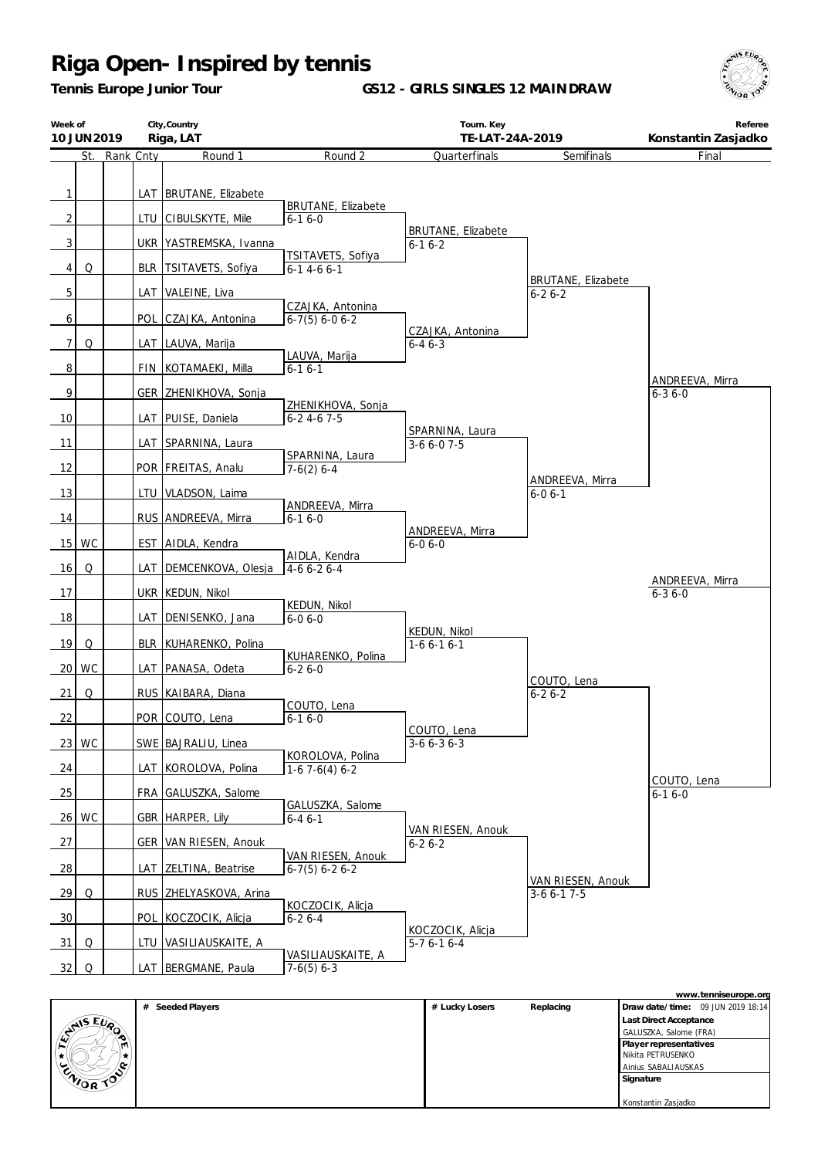*Tennis Europe Junior Tour*

**GS12 - GIRLS SINGLES 12 MAINDRAW**



| Week of        | 10 JUN 2019 |               |            | City, Country<br>Riga, LAT |                                        | Tourn. Key<br>TE-LAT-24A-2019             |                                           | Referee<br>Konstantin Zasjadko  |
|----------------|-------------|---------------|------------|----------------------------|----------------------------------------|-------------------------------------------|-------------------------------------------|---------------------------------|
|                |             | St. Rank Cnty |            | Round 1                    | Round 2                                | Quarterfinals                             | Semifinals                                | Final                           |
| $\mathbf{1}$   |             |               |            | LAT   BRUTANE, Elizabete   | <b>BRUTANE, Elizabete</b>              |                                           |                                           |                                 |
| $\overline{2}$ |             |               | LTU        | CIBULSKYTE, Mile           | $6 - 16 - 0$                           |                                           |                                           |                                 |
| $\overline{3}$ |             |               |            | UKR   YASTREMSKA, Ivanna   | TSITAVETS, Sofiya                      | <b>BRUTANE, Elizabete</b><br>$6 - 16 - 2$ |                                           |                                 |
| $\vert$        | Q           |               | <b>BLR</b> | TSITAVETS, Sofiya          | $6 - 14 - 66 - 1$                      |                                           |                                           |                                 |
| $\overline{5}$ |             |               | LAT        | VALEINE, Liva              |                                        |                                           | <b>BRUTANE, Elizabete</b><br>$6 - 26 - 2$ |                                 |
| $6 \mid$       |             |               | POL        | CZAJKA, Antonina           | CZAJKA, Antonina<br>$6-7(5)$ 6-0 6-2   |                                           |                                           |                                 |
| 7              | Q           |               |            | LAT   LAUVA, Marija        |                                        | CZAJKA, Antonina<br>$6 - 46 - 3$          |                                           |                                 |
| 8 <sup>1</sup> |             |               | FIN        | KOTAMAEKI, Milla           | LAUVA, Marija<br>$6 - 16 - 1$          |                                           |                                           |                                 |
| $\overline{9}$ |             |               |            | GER ZHENIKHOVA, Sonja      |                                        |                                           |                                           | ANDREEVA, Mirra<br>$6 - 36 - 0$ |
| 10             |             |               |            | LAT   PUISE, Daniela       | ZHENIKHOVA, Sonja<br>$6 - 24 - 67 - 5$ |                                           |                                           |                                 |
| 11             |             |               |            | LAT SPARNINA, Laura        |                                        | SPARNINA, Laura<br>$3-66-07-5$            |                                           |                                 |
| 12             |             |               |            | POR FREITAS, Analu         | SPARNINA, Laura<br>$7-6(2)$ 6-4        |                                           |                                           |                                 |
| 13             |             |               |            | LTU   VLADSON, Laima       |                                        |                                           | ANDREEVA, Mirra<br>$6 - 06 - 1$           |                                 |
|                |             |               |            |                            | ANDREEVA, Mirra                        |                                           |                                           |                                 |
| 14             |             |               |            | RUS ANDREEVA, Mirra        | $6 - 16 - 0$                           | ANDREEVA, Mirra                           |                                           |                                 |
| 15             | WC          |               |            | EST AIDLA, Kendra          | AIDLA, Kendra                          | $6 - 06 - 0$                              |                                           |                                 |
| 16             | Q           |               | LAT        | DEMCENKOVA, Olesja         | $4-66-26-4$                            |                                           |                                           | ANDREEVA, Mirra                 |
| 17             |             |               |            | UKR KEDUN, Nikol           | <b>KEDUN, Nikol</b>                    |                                           |                                           | $6 - 36 - 0$                    |
| 18             |             |               | LAT        | DENISENKO, Jana            | $6 - 06 - 0$                           |                                           |                                           |                                 |
| 19             | Q           |               | <b>BLR</b> | KUHARENKO, Polina          |                                        | KEDUN, Nikol<br>$1-66-16-1$               |                                           |                                 |
| 20             | WC          |               | LAT        | PANASA, Odeta              | KUHARENKO, Polina<br>$6 - 26 - 0$      |                                           |                                           |                                 |
| 21             | Q           |               |            | RUS KAIBARA, Diana         |                                        |                                           | COUTO, Lena<br>$6 - 26 - 2$               |                                 |
| 22             |             |               |            | POR COUTO, Lena            | COUTO, Lena<br>$6 - 16 - 0$            |                                           |                                           |                                 |
|                | 23 WC       |               |            | SWE   BAJRALIU, Linea      |                                        | COUTO, Lena<br>$3-66-36-3$                |                                           |                                 |
| 24             |             |               |            | LAT KOROLOVA, Polina       | KOROLOVA, Polina<br>$1-67-6(4)6-2$     |                                           |                                           |                                 |
| 25             |             |               |            | FRA GALUSZKA, Salome       |                                        |                                           |                                           | COUTO, Lena<br>$6 - 16 - 0$     |
|                | $26$ WC     |               |            | GBR   HARPER, Lily         | GALUSZKA, Salome<br>$6 - 46 - 1$       |                                           |                                           |                                 |
| 27             |             |               |            | GER   VAN RIESEN, Anouk    |                                        | VAN RIESEN, Anouk<br>$6 - 26 - 2$         |                                           |                                 |
| 28             |             |               |            | LAT ZELTINA, Beatrise      | VAN RIESEN, Anouk<br>$6-7(5)$ 6-2 6-2  |                                           |                                           |                                 |
| 29             | Q           |               |            | RUS ZHELYASKOVA, Arina     |                                        |                                           | VAN RIESEN, Anouk<br>$3-66-17-5$          |                                 |
| 30             |             |               | <b>POL</b> | KOCZOCIK, Alicja           | KOCZOCIK, Alicja<br>$6 - 26 - 4$       |                                           |                                           |                                 |
| 31             | Q           |               |            | LTU   VASILIAUSKAITE, A    |                                        | KOCZOCIK, Alicja<br>$5-76-16-4$           |                                           |                                 |
| 32             | $\mathsf O$ |               |            | LAT   BERGMANE, Paula      | VASILIAUSKAITE, A<br>$7-6(5)$ 6-3      |                                           |                                           |                                 |

|                             |                     |                |           | www.tenniseurope.org              |
|-----------------------------|---------------------|----------------|-----------|-----------------------------------|
|                             | Seeded Players<br># | # Lucky Losers | Replacing | Draw date/time: 09 JUN 2019 18:14 |
| $E_{U_{\alpha}}$            |                     |                |           | Last Direct Acceptance            |
| $\sqrt{\frac{2}{\sqrt{2}}}$ |                     |                |           | GALUSZKA, Salome (FRA)            |
| ا استا ا                    |                     |                |           | Player representatives            |
| ŵ.                          |                     |                |           | Nikita PETRUSENKO                 |
| ENIOR TO                    |                     |                |           | Ainius SABALIAUSKAS               |
|                             |                     |                |           | Signature                         |
|                             |                     |                |           |                                   |
|                             |                     |                |           | Konstantin Zasjadko               |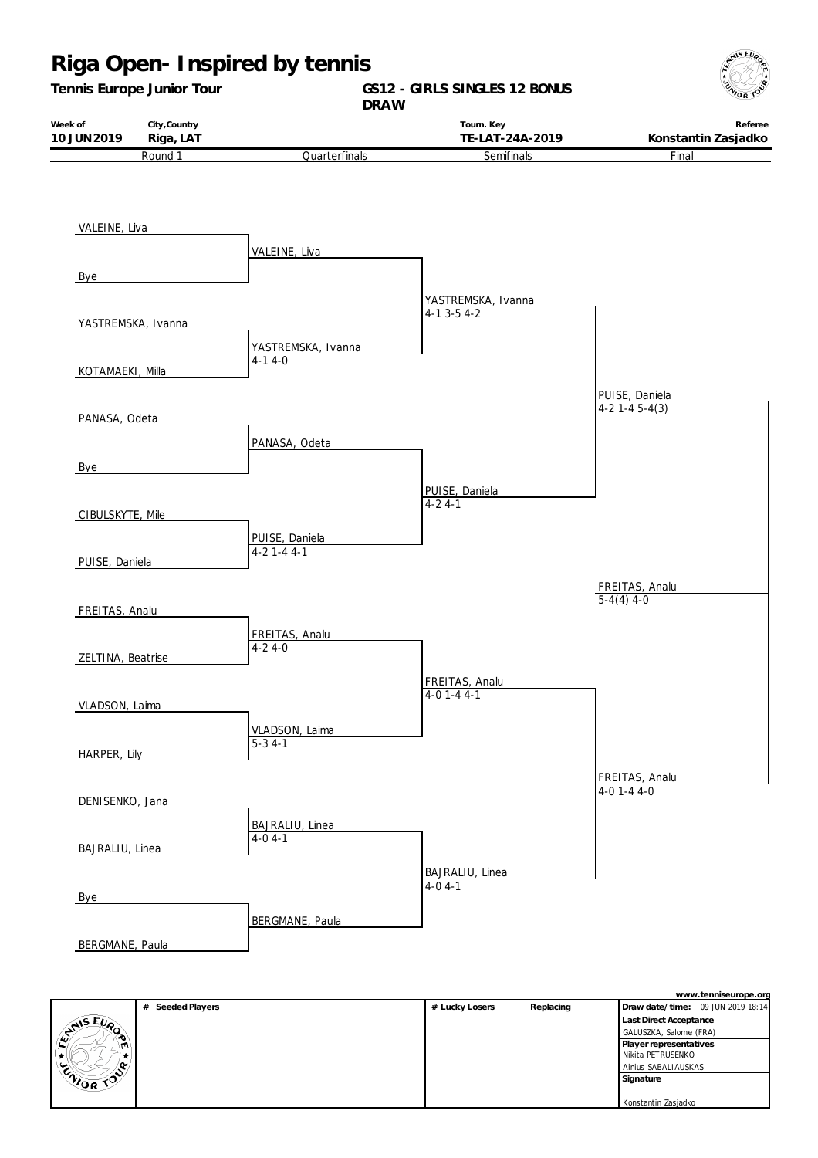

|                  | # Seeded Players | # Lucky Losers | Replacing | Draw date/time: 09 JUN 2019 18:14 |
|------------------|------------------|----------------|-----------|-----------------------------------|
| <b>AIS EVA</b>   |                  |                |           | Last Direct Acceptance            |
| æ,               |                  |                |           | GALUSZKA, Salome (FRA)            |
| m                |                  |                |           | Player representatives            |
|                  |                  |                |           | Nikita PETRUSENKO                 |
| ∕ ი∝             |                  |                |           | Ainius SABALIAUSKAS               |
| <b>ENIOR TOO</b> |                  |                |           | Signature                         |
|                  |                  |                |           |                                   |
|                  |                  |                |           | Konstantin Zasjadko               |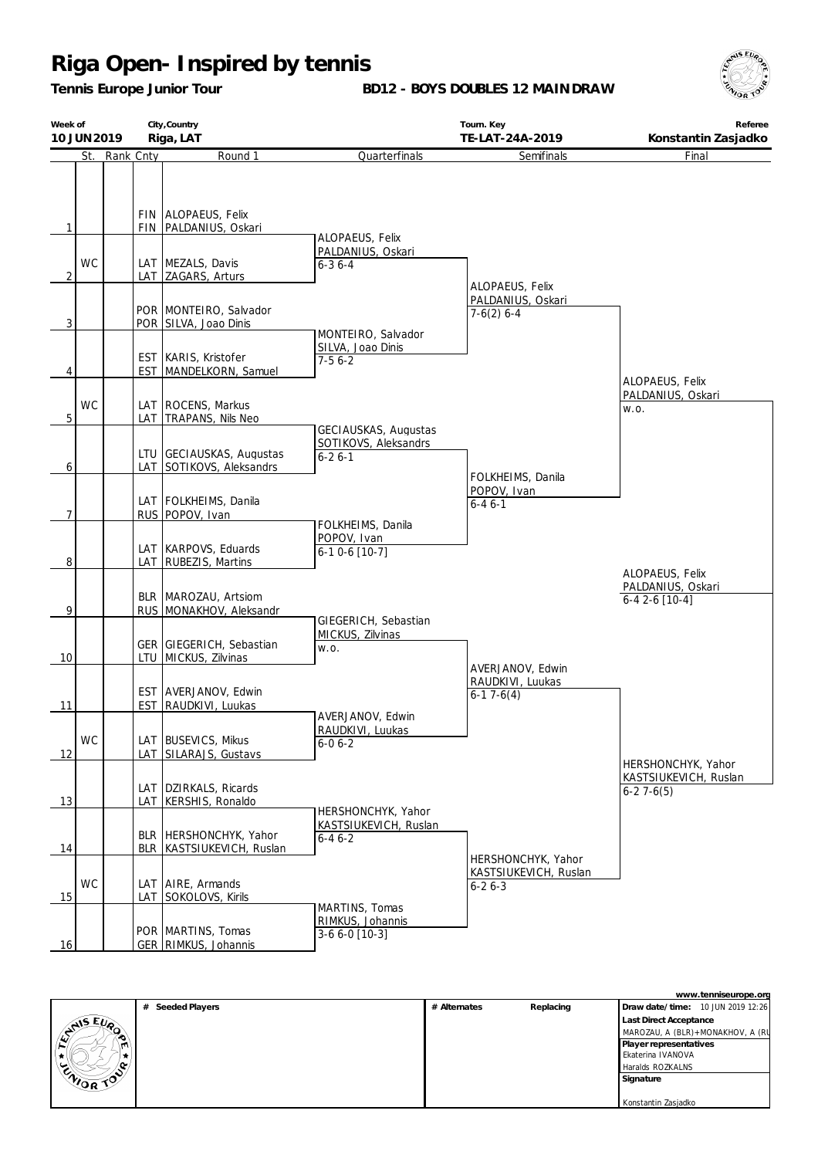*Tennis Europe Junior Tour*

**BD12 - BOYS DOUBLES 12 MAINDRAW**



| Week of<br>10 JUN 2019 |           |               |            | City, Country<br>Riga, LAT                                                                  |                                                             | Tourn. Key<br>TE-LAT-24A-2019                               | Referee<br>Konstantin Zasjadko                          |  |
|------------------------|-----------|---------------|------------|---------------------------------------------------------------------------------------------|-------------------------------------------------------------|-------------------------------------------------------------|---------------------------------------------------------|--|
|                        |           | St. Rank Cnty |            | Round 1                                                                                     | Quarterfinals                                               | Semifinals                                                  | Final                                                   |  |
| 1<br>2                 | <b>WC</b> |               |            | FIN ALOPAEUS, Felix<br>FIN   PALDANIUS, Oskari<br>LAT MEZALS, Davis<br>LAT   ZAGARS, Arturs | ALOPAEUS, Felix<br>PALDANIUS, Oskari<br>$6 - 36 - 4$        |                                                             |                                                         |  |
| $\overline{3}$         |           |               |            | POR MONTEIRO, Salvador<br>POR SILVA, Joao Dinis                                             | MONTEIRO, Salvador                                          | ALOPAEUS, Felix<br>PALDANIUS, Oskari<br>$7-6(2)$ 6-4        |                                                         |  |
| 4                      |           |               | <b>EST</b> | EST   KARIS, Kristofer<br>MANDELKORN, Samuel                                                | SILVA, Joao Dinis<br>$7-56-2$                               |                                                             | ALOPAEUS, Felix<br>PALDANIUS, Oskari                    |  |
| 5 <sup>1</sup>         | <b>WC</b> |               |            | LAT   ROCENS, Markus<br>LAT TRAPANS, Nils Neo                                               | GECIAUSKAS, Augustas                                        |                                                             | W.O.                                                    |  |
| 6                      |           |               |            | LTU GECIAUSKAS, Augustas<br>LAT SOTIKOVS, Aleksandrs                                        | SOTIKOVS, Aleksandrs<br>$6 - 26 - 1$                        | FOLKHEIMS, Danila                                           |                                                         |  |
| 7                      |           |               |            | LAT   FOLKHEIMS, Danila<br>RUS POPOV, Ivan                                                  | FOLKHEIMS, Danila                                           | POPOV, Ivan<br>$6 - 46 - 1$                                 |                                                         |  |
| 8                      |           |               |            | LAT   KARPOVS, Eduards<br>LAT   RUBEZIS, Martins                                            | POPOV, Ivan<br>$6-10-6$ [10-7]                              |                                                             |                                                         |  |
| 9                      |           |               |            | BLR   MAROZAU, Artsiom<br>RUS MONAKHOV, Aleksandr                                           |                                                             |                                                             | ALOPAEUS, Felix<br>PALDANIUS, Oskari<br>$6-42-6$ [10-4] |  |
| 10                     |           |               |            | GER GIEGERICH, Sebastian<br>LTU   MICKUS, Zilvinas                                          | GIEGERICH, Sebastian<br>MICKUS, Zilvinas<br>W.O.            | AVERJANOV, Edwin                                            |                                                         |  |
| 11                     |           |               | <b>EST</b> | EST AVERJANOV, Edwin<br>RAUDKIVI, Luukas                                                    | AVERJANOV, Edwin                                            | RAUDKIVI, Luukas<br>$6-17-6(4)$                             |                                                         |  |
| 12                     | WC        |               |            | LAT BUSEVICS, Mikus<br>LAT SILARAJS, Gustavs                                                | RAUDKIVI, Luukas<br>$6-06-2$                                |                                                             | HERSHONCHYK, Yahor                                      |  |
| 13                     |           |               | LAT        | LAT   DZIRKALS, Ricards<br>KERSHIS, Ronaldo                                                 |                                                             |                                                             | KASTSIUKEVICH, Ruslan<br>$6-27-6(5)$                    |  |
| 14                     |           |               |            | BLR   HERSHONCHYK, Yahor<br>BLR KASTSIUKEVICH, Ruslan                                       | HERSHONCHYK, Yahor<br>KASTSIUKEVICH, Ruslan<br>$6 - 46 - 2$ |                                                             |                                                         |  |
| 15                     | <b>WC</b> |               |            | LAT   AIRE, Armands<br>LAT SOKOLOVS, Kirils                                                 |                                                             | HERSHONCHYK, Yahor<br>KASTSIUKEVICH, Ruslan<br>$6 - 26 - 3$ |                                                         |  |
| 16                     |           |               |            | POR   MARTINS, Tomas<br>GER RIMKUS, Johannis                                                | MARTINS, Tomas<br>RIMKUS, Johannis<br>3-6 6-0 [10-3]        |                                                             |                                                         |  |

|                          | www.tenniseurope.org |              |           |                                   |  |  |
|--------------------------|----------------------|--------------|-----------|-----------------------------------|--|--|
|                          | # Seeded Players     | # Alternates | Replacing | Draw date/time: 10 JUN 2019 12:26 |  |  |
| $E_{U_{\alpha}}$         |                      |              |           | <b>Last Direct Acceptance</b>     |  |  |
| <b>STAIS</b>             |                      |              |           | MAROZAU, A (BLR)+MONAKHOV, A (RU  |  |  |
|                          |                      |              |           | Player representatives            |  |  |
|                          |                      |              |           | Ekaterina IVANOVA                 |  |  |
| N<br>ັ                   |                      |              |           | Haralds ROZKALNS                  |  |  |
| <b>ENOR</b><br>$\approx$ |                      |              |           | Signature                         |  |  |
|                          |                      |              |           |                                   |  |  |
|                          |                      |              |           | Konstantin Zasjadko               |  |  |